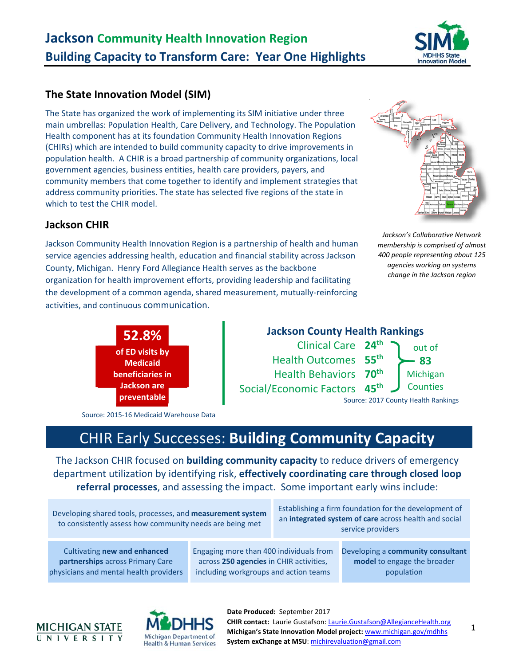## **The State Innovation Model (SIM)**

The State has organized the work of implementing its SIM initiative under three main umbrellas: Population Health, Care Delivery, and Technology. The Population Health component has at its foundation Community Health Innovation Regions (CHIRs) which are intended to build community capacity to drive improvements in population health. A CHIR is a broad partnership of community organizations, local government agencies, business entities, health care providers, payers, and community members that come together to identify and implement strategies that address community priorities. The state has selected five regions of the state in which to test the CHIR model.

## **Jackson CHIR**

Jackson Community Health Innovation Region is a partnership of health and human service agencies addressing health, education and financial stability across Jackson County, Michigan. Henry Ford Allegiance Health serves as the backbone organization for health improvement efforts, providing leadership and facilitating the development of a common agenda, shared measurement, mutually‐reinforcing activities, and continuous communication.





## **Jackson County Health Rankings**

| Clinical Care 24th                       |  | out of               |  |  |  |
|------------------------------------------|--|----------------------|--|--|--|
| Health Outcomes 55 <sup>th</sup>         |  | 83                   |  |  |  |
| Health Behaviors 70 <sup>th</sup>        |  | Michigan<br>Counties |  |  |  |
| Social/Economic Factors 45 <sup>th</sup> |  |                      |  |  |  |
| Source: 2017 County Health Rankings      |  |                      |  |  |  |

Source: 2015‐16 Medicaid Warehouse Data

# CHIR Early Successes: **Building Community Capacity**

The Jackson CHIR focused on **building community capacity** to reduce drivers of emergency department utilization by identifying risk, **effectively coordinating care through closed loop referral processes**, and assessing the impact. Some important early wins include:

| Developing shared tools, processes, and measurement system<br>to consistently assess how community needs are being met |                                         | Establishing a firm foundation for the development of<br>an integrated system of care across health and social<br>service providers |                                   |
|------------------------------------------------------------------------------------------------------------------------|-----------------------------------------|-------------------------------------------------------------------------------------------------------------------------------------|-----------------------------------|
| Cultivating new and enhanced                                                                                           | Engaging more than 400 individuals from |                                                                                                                                     | Developing a community consultant |
| partnerships across Primary Care                                                                                       | across 250 agencies in CHIR activities, |                                                                                                                                     | model to engage the broader       |
| physicians and mental health providers                                                                                 | including workgroups and action teams   |                                                                                                                                     | population                        |





**Date Produced:**  September 2017 **CHIR contact:** Laurie Gustafson: *Laurie.Gustafson@AllegianceHealth.org* **Michigan's State Innovation Model project:** www.michigan.gov/mdhhs **System exChange at MSU**: michirevaluation@gmail.com



1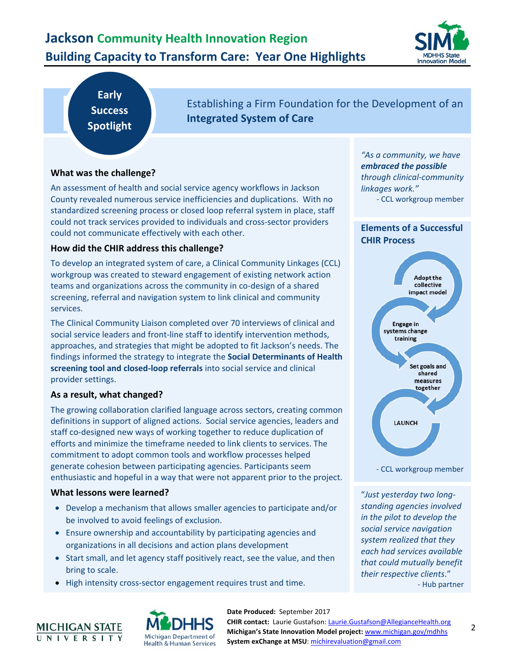# **Jackson Community Health Innovation Region Building Capacity to Transform Care: Year One Highlights**



**Early Success Spotlight** 

Establishing a Firm Foundation for the Development of an **Integrated System of Care**

### **What was the challenge?**

An assessment of health and social service agency workflows in Jackson County revealed numerous service inefficiencies and duplications. With no standardized screening process or closed loop referral system in place, staff could not track services provided to individuals and cross‐sector providers could not communicate effectively with each other.

#### **How did the CHIR address this challenge?**

To develop an integrated system of care, a Clinical Community Linkages (CCL) workgroup was created to steward engagement of existing network action teams and organizations across the community in co‐design of a shared screening, referral and navigation system to link clinical and community services.

The Clinical Community Liaison completed over 70 interviews of clinical and social service leaders and front‐line staff to identify intervention methods, approaches, and strategies that might be adopted to fit Jackson's needs. The findings informed the strategy to integrate the **Social Determinants of Health screening tool and closed‐loop referrals** into social service and clinical provider settings.

### **As a result, what changed?**

The growing collaboration clarified language across sectors, creating common definitions in support of aligned actions. Social service agencies, leaders and staff co-designed new ways of working together to reduce duplication of efforts and minimize the timeframe needed to link clients to services. The commitment to adopt common tools and workflow processes helped generate cohesion between participating agencies. Participants seem enthusiastic and hopeful in a way that were not apparent prior to the project.

### **What lessons were learned?**

- Develop a mechanism that allows smaller agencies to participate and/or be involved to avoid feelings of exclusion.
- Ensure ownership and accountability by participating agencies and organizations in all decisions and action plans development
- Start small, and let agency staff positively react, see the value, and then bring to scale.
- High intensity cross-sector engagement requires trust and time.





**Date Produced:**  September 2017 **CHIR contact:** Laurie Gustafson: *Laurie.Gustafson@AllegianceHealth.org* **Michigan's State Innovation Model project:** www.michigan.gov/mdhhs **System exChange at MSU**: michirevaluation@gmail.com

*"As a community, we have embraced the possible through clinical‐community linkages work."* 

‐ CCL workgroup member

### **Elements of a Successful CHIR Process**



‐ CCL workgroup member

"*Just yesterday two long‐ standing agencies involved in the pilot to develop the social service navigation system realized that they each had services available that could mutually benefit their respective clients*." ‐ Hub partner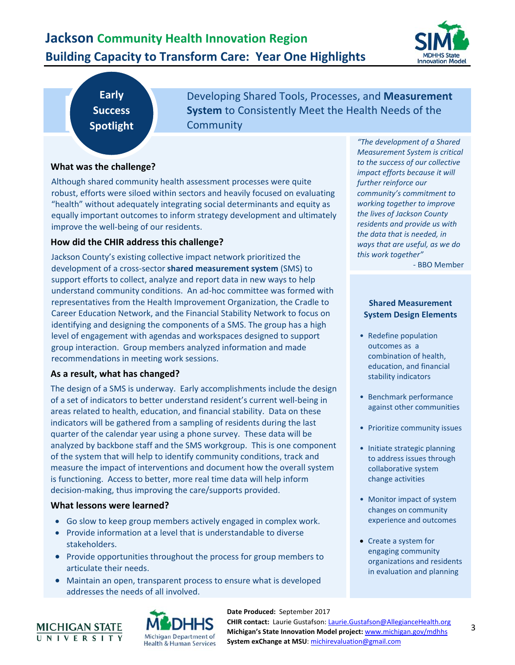# **Jackson Community Health Innovation Region Building Capacity to Transform Care: Year One Highlights**



**Early Success Spotlight** 

Developing Shared Tools, Processes, and **Measurement System** to Consistently Meet the Health Needs of the **Community** 

### **What was the challenge?**

Although shared community health assessment processes were quite robust, efforts were siloed within sectors and heavily focused on evaluating "health" without adequately integrating social determinants and equity as equally important outcomes to inform strategy development and ultimately improve the well-being of our residents.

### **How did the CHIR address this challenge?**

Jackson County's existing collective impact network prioritized the development of a cross‐sector **shared measurement system** (SMS) to support efforts to collect, analyze and report data in new ways to help understand community conditions. An ad‐hoc committee was formed with representatives from the Health Improvement Organization, the Cradle to Career Education Network, and the Financial Stability Network to focus on identifying and designing the components of a SMS. The group has a high level of engagement with agendas and workspaces designed to support group interaction. Group members analyzed information and made recommendations in meeting work sessions.

## **As a result, what has changed?**

The design of a SMS is underway. Early accomplishments include the design of a set of indicators to better understand resident's current well‐being in areas related to health, education, and financial stability. Data on these indicators will be gathered from a sampling of residents during the last quarter of the calendar year using a phone survey. These data will be analyzed by backbone staff and the SMS workgroup. This is one component of the system that will help to identify community conditions, track and measure the impact of interventions and document how the overall system is functioning. Access to better, more real time data will help inform decision‐making, thus improving the care/supports provided.

## **What lessons were learned?**

- Go slow to keep group members actively engaged in complex work.
- Provide information at a level that is understandable to diverse stakeholders.
- Provide opportunities throughout the process for group members to articulate their needs.
- Maintain an open, transparent process to ensure what is developed addresses the needs of all involved.





**Date Produced:**  September 2017 **CHIR contact:** Laurie Gustafson: *Laurie.Gustafson@AllegianceHealth.org* **Michigan's State Innovation Model project:** www.michigan.gov/mdhhs **System exChange at MSU**: michirevaluation@gmail.com

*"The development of a Shared Measurement System is critical to the success of our collective impact efforts because it will further reinforce our community's commitment to working together to improve the lives of Jackson County residents and provide us with the data that is needed, in ways that are useful, as we do this work together"*

‐ BBO Member

#### **Shared Measurement System Design Elements**

- Redefine population outcomes as a combination of health, education, and financial stability indicators
- Benchmark performance against other communities
- Prioritize community issues
- Initiate strategic planning to address issues through collaborative system change activities
- Monitor impact of system changes on community experience and outcomes
- Create a system for engaging community organizations and residents in evaluation and planning